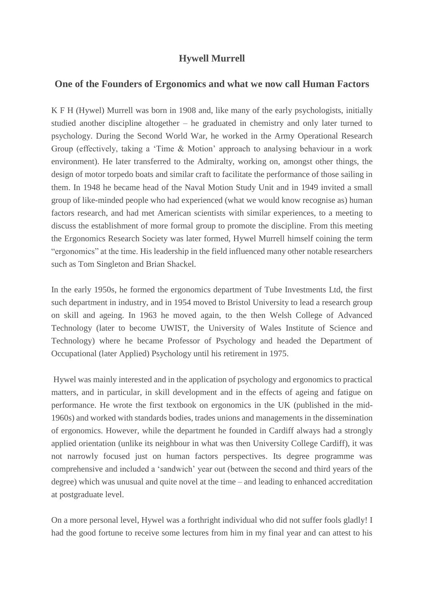## **Hywell Murrell**

## **One of the Founders of Ergonomics and what we now call Human Factors**

K F H (Hywel) Murrell was born in 1908 and, like many of the early psychologists, initially studied another discipline altogether – he graduated in chemistry and only later turned to psychology. During the Second World War, he worked in the Army Operational Research Group (effectively, taking a 'Time & Motion' approach to analysing behaviour in a work environment). He later transferred to the Admiralty, working on, amongst other things, the design of motor torpedo boats and similar craft to facilitate the performance of those sailing in them. In 1948 he became head of the Naval Motion Study Unit and in 1949 invited a small group of like-minded people who had experienced (what we would know recognise as) human factors research, and had met American scientists with similar experiences, to a meeting to discuss the establishment of more formal group to promote the discipline. From this meeting the Ergonomics Research Society was later formed, Hywel Murrell himself coining the term "ergonomics" at the time. His leadership in the field influenced many other notable researchers such as Tom Singleton and Brian Shackel.

In the early 1950s, he formed the ergonomics department of Tube Investments Ltd, the first such department in industry, and in 1954 moved to Bristol University to lead a research group on skill and ageing. In 1963 he moved again, to the then Welsh College of Advanced Technology (later to become UWIST, the University of Wales Institute of Science and Technology) where he became Professor of Psychology and headed the Department of Occupational (later Applied) Psychology until his retirement in 1975.

Hywel was mainly interested and in the application of psychology and ergonomics to practical matters, and in particular, in skill development and in the effects of ageing and fatigue on performance. He wrote the first textbook on ergonomics in the UK (published in the mid-1960s) and worked with standards bodies, trades unions and managements in the dissemination of ergonomics. However, while the department he founded in Cardiff always had a strongly applied orientation (unlike its neighbour in what was then University College Cardiff), it was not narrowly focused just on human factors perspectives. Its degree programme was comprehensive and included a 'sandwich' year out (between the second and third years of the degree) which was unusual and quite novel at the time – and leading to enhanced accreditation at postgraduate level.

On a more personal level, Hywel was a forthright individual who did not suffer fools gladly! I had the good fortune to receive some lectures from him in my final year and can attest to his